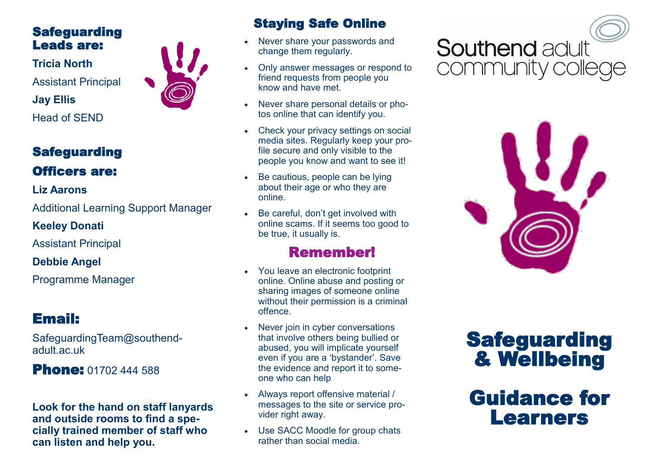### Safeguarding Leads are:

**Tricia North** Assistant Principal **Jay Ellis** Head of SEND

### **Safeguarding** Officers are:

#### **Liz Aarons**

Additional Learning Support Manager

**Keeley Donati**

Assistant Principal

**Debbie Angel**

Programme Manager

## Email:

SafeguardingTeam@southendadult.ac.uk

### **Phone: 01702 444 588**

**Look for the hand on staff lanyards and outside rooms to find a specially trained member of staff who can listen and help you.** 



- Never share your passwords and change them regularly.
- Only answer messages or respond to friend requests from people you know and have met.
- Never share personal details or photos online that can identify you.
- Check your privacy settings on social media sites. Regularly keep your profile secure and only visible to the people you know and want to see it!
- Be cautious, people can be lying about their age or who they are online.
- Be careful, don't get involved with online scams. If it seems too good to be true, it usually is.

### Remember!

- You leave an electronic footprint online. Online abuse and posting or sharing images of someone online without their permission is a criminal offence.
- Never join in cyber conversations that involve others being bullied or abused, you will implicate yourself even if you are a 'bystander'. Save the evidence and report it to someone who can help
- Always report offensive material / messages to the site or service provider right away.
- Use SACC Moodle for group chats rather than social media.

# **Southend adult** community colleg



# **Safeguarding** & Wellbeing

# Guidance for Learners